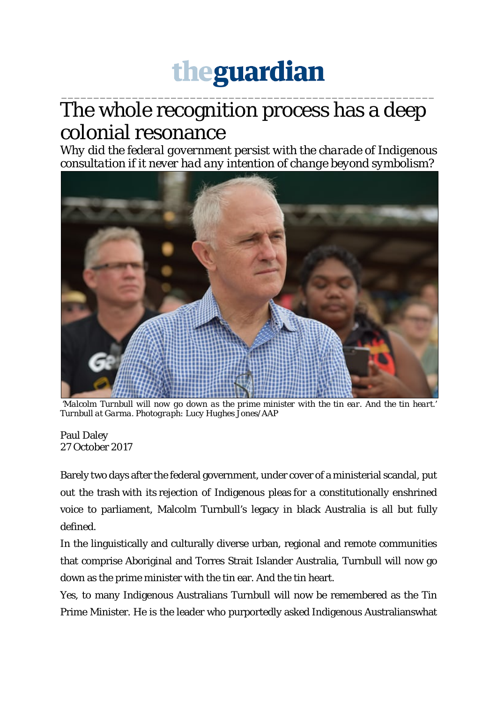## theguardian

## \_\_\_\_\_\_\_\_\_\_\_\_\_\_\_\_\_\_\_\_\_\_\_\_\_\_\_\_\_\_\_\_\_\_\_\_\_\_\_\_\_\_\_\_\_\_\_\_\_\_\_\_\_\_\_\_\_\_ The whole recognition process has a deep colonial resonance

*Why did the federal government persist with the charade of Indigenous consultation if it never had any intention of change beyond symbolism?*



*'Malcolm Turnbull will now go down as the prime minister with the tin ear. And the tin heart.' Turnbull at Garma. Photograph: Lucy Hughes Jones/AAP*

Paul Daley 27 October 2017

Barely two days after the federal government, under cover of a ministerial scandal, put out the trash with its rejection of Indigenous pleas for a constitutionally enshrined voice to parliament, Malcolm Turnbull's legacy in black Australia is all but fully defined.

In the linguistically and culturally diverse urban, regional and remote communities that comprise Aboriginal and Torres Strait Islander Australia, Turnbull will now go down as the prime minister with the tin ear. And the tin heart.

Yes, to many Indigenous Australians Turnbull will now be remembered as the Tin Prime Minister. He is the leader who purportedly asked Indigenous Australianswhat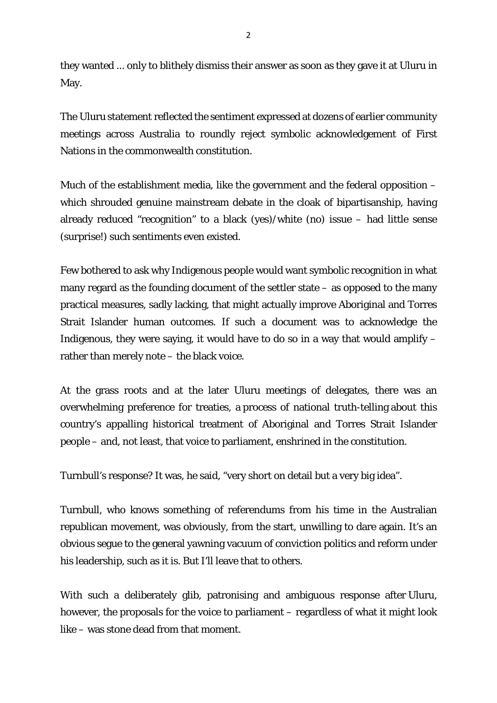they wanted ... only to blithely dismiss their answer as soon as they gave it at Uluru in May.

The Uluru statement reflected the sentiment expressed at dozens of earlier community meetings across Australia to roundly reject symbolic acknowledgement of First Nations in the commonwealth constitution.

Much of the establishment media, like the government and the federal opposition – which shrouded genuine mainstream debate in the cloak of bipartisanship, having already reduced "recognition" to a black (yes)/white (no) issue – had little sense (surprise!) such sentiments even existed.

Few bothered to ask why Indigenous people would want symbolic recognition in what many regard as the founding document of the settler state – as opposed to the many practical measures, sadly lacking, that might actually improve Aboriginal and Torres Strait Islander human outcomes. If such a document was to acknowledge the Indigenous, they were saying, it would have to do so in a way that would amplify  $$ rather than merely note – the black voice.

At the grass roots and at the later Uluru meetings of delegates, there was an overwhelming preference for treaties, a process of national truth-telling about this country's appalling historical treatment of Aboriginal and Torres Strait Islander people – and, not least, that voice to parliament, enshrined in the constitution.

Turnbull's response? It was, he said, "very short on detail but a very big idea".

Turnbull, who knows something of referendums from his time in the Australian republican movement, was obviously, from the start, unwilling to dare again. It's an obvious segue to the general yawning vacuum of conviction politics and reform under his leadership, such as it is. But I'll leave that to others.

With such a deliberately glib, patronising and ambiguous response after Uluru, however, the proposals for the voice to parliament – regardless of what it might look like – was stone dead from that moment.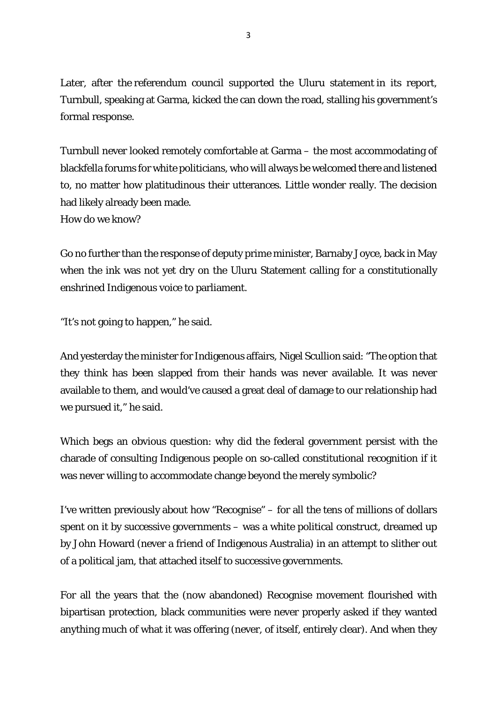Later, after the referendum council supported the Uluru statement in its report, Turnbull, speaking at Garma, kicked the can down the road, stalling his government's formal response.

Turnbull never looked remotely comfortable at Garma – the most accommodating of blackfella forums for white politicians, who will always be welcomed there and listened to, no matter how platitudinous their utterances. Little wonder really. The decision had likely already been made.

How do we know?

Go no further than the response of deputy prime minister, Barnaby Joyce, back in May when the ink was not yet dry on the Uluru Statement calling for a constitutionally enshrined Indigenous voice to parliament.

"It's not going to happen," he said.

And yesterday the minister for Indigenous affairs, Nigel Scullion said: "The option that they think has been slapped from their hands was never available. It was never available to them, and would've caused a great deal of damage to our relationship had we pursued it," he said.

Which begs an obvious question: why did the federal government persist with the charade of consulting Indigenous people on so-called constitutional recognition if it was never willing to accommodate change beyond the merely symbolic?

I've written previously about how "Recognise" – for all the tens of millions of dollars spent on it by successive governments – was a white political construct, dreamed up by John Howard (never a friend of Indigenous Australia) in an attempt to slither out of a political jam, that attached itself to successive governments.

For all the years that the (now abandoned) Recognise movement flourished with bipartisan protection, black communities were never properly asked if they wanted anything much of what it was offering (never, of itself, entirely clear). And when they